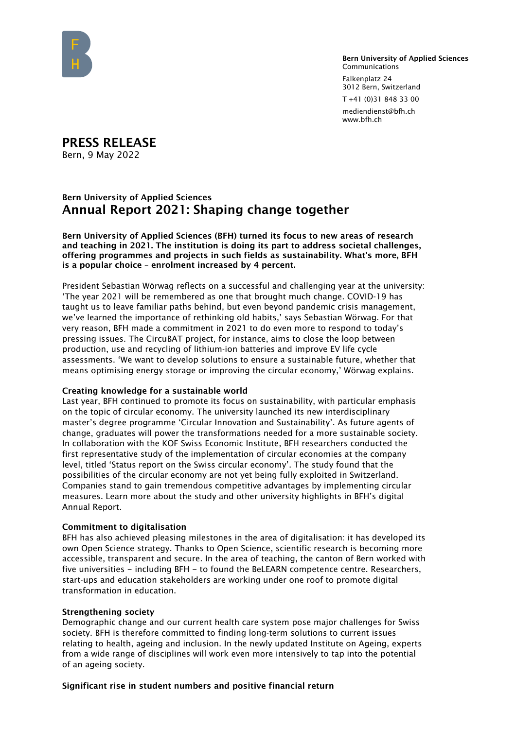

Bern University of Applied Sciences Communications Falkenplatz 24 3012 Bern, Switzerland T +41 (0)31 848 33 00

mediendienst@bfh.ch www.bfh.ch

PRESS RELEASE Bern, 9 May 2022

# Bern University of Applied Sciences Annual Report 2021: Shaping change together

Bern University of Applied Sciences (BFH) turned its focus to new areas of research and teaching in 2021. The institution is doing its part to address societal challenges, offering programmes and projects in such fields as sustainability. What's more, BFH is a popular choice – enrolment increased by 4 percent.

President Sebastian Wörwag reflects on a successful and challenging year at the university: 'The year 2021 will be remembered as one that brought much change. COVID-19 has taught us to leave familiar paths behind, but even beyond pandemic crisis management, we've learned the importance of rethinking old habits,' says Sebastian Wörwag. For that very reason, BFH made a commitment in 2021 to do even more to respond to today's pressing issues. The CircuBAT project, for instance, aims to close the loop between production, use and recycling of lithium-ion batteries and improve EV life cycle assessments. 'We want to develop solutions to ensure a sustainable future, whether that means optimising energy storage or improving the circular economy,' Wörwag explains.

### Creating knowledge for a sustainable world

Last year, BFH continued to promote its focus on sustainability, with particular emphasis on the topic of circular economy. The university launched its new interdisciplinary master's degree programme 'Circular Innovation and Sustainability'. As future agents of change, graduates will power the transformations needed for a more sustainable society. In collaboration with the KOF Swiss Economic Institute, BFH researchers conducted the first representative study of the implementation of circular economies at the company level, titled 'Status report on the Swiss circular economy'. The study found that the possibilities of the circular economy are not yet being fully exploited in Switzerland. Companies stand to gain tremendous competitive advantages by implementing circular measures. Learn more about the study and other university highlights in BFH's digital Annual Report.

### Commitment to digitalisation

BFH has also achieved pleasing milestones in the area of digitalisation: it has developed its own Open Science strategy. Thanks to Open Science, scientific research is becoming more accessible, transparent and secure. In the area of teaching, the canton of Bern worked with five universities – including BFH – to found the BeLEARN competence centre. Researchers, start-ups and education stakeholders are working under one roof to promote digital transformation in education.

### Strengthening society

Demographic change and our current health care system pose major challenges for Swiss society. BFH is therefore committed to finding long-term solutions to current issues relating to health, ageing and inclusion. In the newly updated Institute on Ageing, experts from a wide range of disciplines will work even more intensively to tap into the potential of an ageing society.

# Significant rise in student numbers and positive financial return